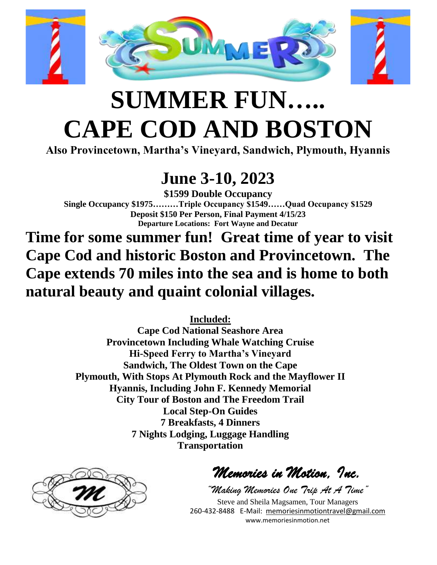

## **SUMMER FUN….. CAPE COD AND BOSTON**

**Also Provincetown, Martha's Vineyard, Sandwich, Plymouth, Hyannis**

## **June 3-10, 2023**

**\$1599 Double Occupancy Single Occupancy \$1975………Triple Occupancy \$1549……Quad Occupancy \$1529 Deposit \$150 Per Person, Final Payment 4/15/23 Departure Locations: Fort Wayne and Decatur**

**Time for some summer fun! Great time of year to visit Cape Cod and historic Boston and Provincetown. The Cape extends 70 miles into the sea and is home to both natural beauty and quaint colonial villages.**

**Included:**

**Cape Cod National Seashore Area Provincetown Including Whale Watching Cruise Hi-Speed Ferry to Martha's Vineyard Sandwich, The Oldest Town on the Cape Plymouth, With Stops At Plymouth Rock and the Mayflower II Hyannis, Including John F. Kennedy Memorial City Tour of Boston and The Freedom Trail Local Step-On Guides 7 Breakfasts, 4 Dinners 7 Nights Lodging, Luggage Handling Transportation**



*Memories in Motion, Inc.* 

*"Making Memories One Trip At A Time"* Steve and Sheila Magsamen, Tour Managers 260-432-8488 E-Mail: [memoriesinmotiontravel@gmail.com](mailto:memoriesinmotiontravel@gmail.com) www.memoriesinmotion.net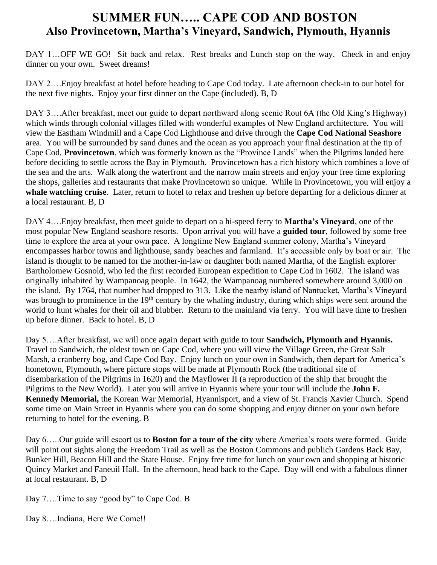## **SUMMER FUN….. CAPE COD AND BOSTON Also Provincetown, Martha's Vineyard, Sandwich, Plymouth, Hyannis**

DAY 1...OFF WE GO! Sit back and relax. Rest breaks and Lunch stop on the way. Check in and enjoy dinner on your own. Sweet dreams!

DAY 2....Enjoy breakfast at hotel before heading to Cape Cod today. Late afternoon check-in to our hotel for the next five nights. Enjoy your first dinner on the Cape (included). B, D

DAY 3....After breakfast, meet our guide to depart northward along scenic Rout 6A (the Old King's Highway) which winds through colonial villages filled with wonderful examples of New England architecture. You will view the Eastham Windmill and a Cape Cod Lighthouse and drive through the **Cape Cod National Seashore** area. You will be surrounded by sand dunes and the ocean as you approach your final destination at the tip of Cape Cod, **Provincetown**, which was formerly known as the "Province Lands" when the Pilgrims landed here before deciding to settle across the Bay in Plymouth. Provincetown has a rich history which combines a love of the sea and the arts. Walk along the waterfront and the narrow main streets and enjoy your free time exploring the shops, galleries and restaurants that make Provincetown so unique. While in Provincetown, you will enjoy a **whale watching cruise**. Later, return to hotel to relax and freshen up before departing for a delicious dinner at a local restaurant. B, D

DAY 4….Enjoy breakfast, then meet guide to depart on a hi-speed ferry to **Martha's Vineyard**, one of the most popular New England seashore resorts. Upon arrival you will have a **guided tour**, followed by some free time to explore the area at your own pace. A longtime New England summer colony, Martha's Vineyard encompasses harbor towns and lighthouse, sandy beaches and farmland. It's accessible only by boat or air. The island is thought to be named for the mother-in-law or daughter both named Martha, of the English explorer Bartholomew Gosnold, who led the first recorded European expedition to Cape Cod in 1602. The island was originally inhabited by Wampanoag people. In 1642, the Wampanoag numbered somewhere around 3,000 on the island. By 1764, that number had dropped to 313. Like the nearby island of Nantucket, Martha's Vineyard was brough to prominence in the 19<sup>th</sup> century by the whaling industry, during which ships were sent around the world to hunt whales for their oil and blubber. Return to the mainland via ferry. You will have time to freshen up before dinner. Back to hotel. B, D

Day 5….After breakfast, we will once again depart with guide to tour **Sandwich, Plymouth and Hyannis.**  Travel to Sandwich, the oldest town on Cape Cod, where you will view the Village Green, the Great Salt Marsh, a cranberry bog, and Cape Cod Bay. Enjoy lunch on your own in Sandwich, then depart for America's hometown, Plymouth, where picture stops will be made at Plymouth Rock (the traditional site of disembarkation of the Pilgrims in 1620) and the Mayflower II (a reproduction of the ship that brought the Pilgrims to the New World). Later you will arrive in Hyannis where your tour will include the **John F. Kennedy Memorial,** the Korean War Memorial, Hyannisport, and a view of St. Francis Xavier Church. Spend some time on Main Street in Hyannis where you can do some shopping and enjoy dinner on your own before returning to hotel for the evening. B

Day 6…..Our guide will escort us to **Boston for a tour of the city** where America's roots were formed. Guide will point out sights along the Freedom Trail as well as the Boston Commons and publich Gardens Back Bay, Bunker Hill, Beacon Hill and the State House. Enjoy free time for lunch on your own and shopping at historic Quincy Market and Faneuil Hall. In the afternoon, head back to the Cape. Day will end with a fabulous dinner at local restaurant. B, D

Day 7….Time to say "good by" to Cape Cod. B

Day 8….Indiana, Here We Come!!